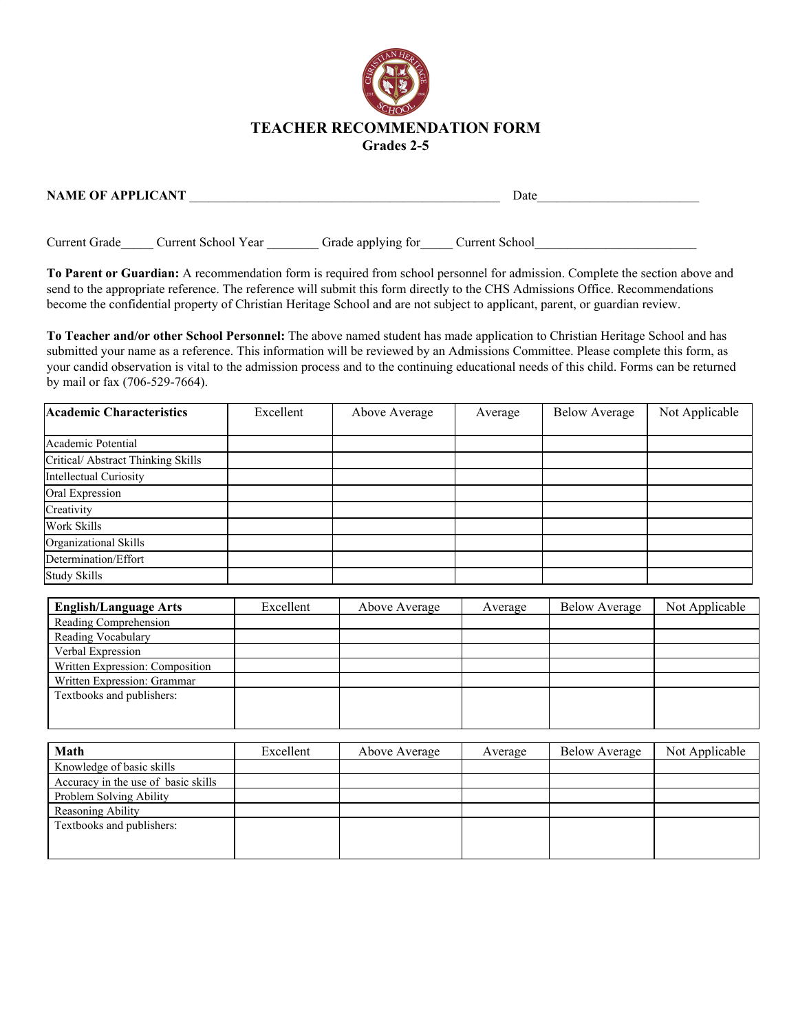

| <b>NAME OF APPLICANT</b> | Date |
|--------------------------|------|
|                          |      |
|                          |      |

Current Grade\_\_\_\_\_ Current School Year \_\_\_\_\_\_\_\_ Grade applying for \_\_\_\_\_ Current School

**To Parent or Guardian:** A recommendation form is required from school personnel for admission. Complete the section above and send to the appropriate reference. The reference will submit this form directly to the CHS Admissions Office. Recommendations become the confidential property of Christian Heritage School and are not subject to applicant, parent, or guardian review.

**To Teacher and/or other School Personnel:** The above named student has made application to Christian Heritage School and has submitted your name as a reference. This information will be reviewed by an Admissions Committee. Please complete this form, as your candid observation is vital to the admission process and to the continuing educational needs of this child. Forms can be returned by mail or fax (706-529-7664).

| <b>Academic Characteristics</b>    | Excellent | Above Average | Average | <b>Below Average</b> | Not Applicable |
|------------------------------------|-----------|---------------|---------|----------------------|----------------|
|                                    |           |               |         |                      |                |
| Academic Potential                 |           |               |         |                      |                |
| Critical/ Abstract Thinking Skills |           |               |         |                      |                |
| Intellectual Curiosity             |           |               |         |                      |                |
| Oral Expression                    |           |               |         |                      |                |
| Creativity                         |           |               |         |                      |                |
| Work Skills                        |           |               |         |                      |                |
| Organizational Skills              |           |               |         |                      |                |
| Determination/Effort               |           |               |         |                      |                |
| <b>Study Skills</b>                |           |               |         |                      |                |

| Excellent | Above Average | Average | <b>Below Average</b> | Not Applicable |
|-----------|---------------|---------|----------------------|----------------|
|           |               |         |                      |                |
|           |               |         |                      |                |
|           |               |         |                      |                |
|           |               |         |                      |                |
|           |               |         |                      |                |
|           |               |         |                      |                |
|           |               |         |                      |                |
|           |               |         |                      |                |

| Math                                | Excellent | Above Average | Average | <b>Below Average</b> | Not Applicable |
|-------------------------------------|-----------|---------------|---------|----------------------|----------------|
| Knowledge of basic skills           |           |               |         |                      |                |
| Accuracy in the use of basic skills |           |               |         |                      |                |
| Problem Solving Ability             |           |               |         |                      |                |
| Reasoning Ability                   |           |               |         |                      |                |
| Textbooks and publishers:           |           |               |         |                      |                |
|                                     |           |               |         |                      |                |
|                                     |           |               |         |                      |                |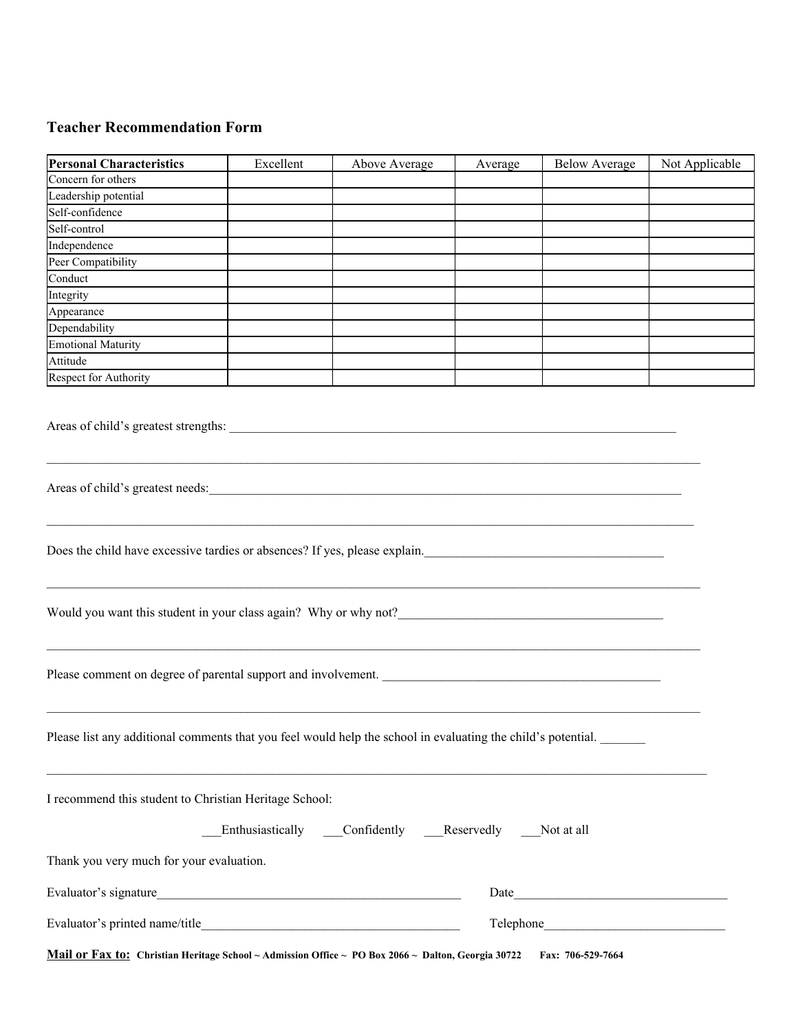## **Teacher Recommendation Form**

| <b>Personal Characteristics</b>                                                                              | Excellent | Above Average                                      | Average | <b>Below Average</b> | Not Applicable |  |
|--------------------------------------------------------------------------------------------------------------|-----------|----------------------------------------------------|---------|----------------------|----------------|--|
| Concern for others                                                                                           |           |                                                    |         |                      |                |  |
| Leadership potential                                                                                         |           |                                                    |         |                      |                |  |
| Self-confidence                                                                                              |           |                                                    |         |                      |                |  |
| Self-control                                                                                                 |           |                                                    |         |                      |                |  |
| Independence                                                                                                 |           |                                                    |         |                      |                |  |
| Peer Compatibility                                                                                           |           |                                                    |         |                      |                |  |
| Conduct                                                                                                      |           |                                                    |         |                      |                |  |
| Integrity                                                                                                    |           |                                                    |         |                      |                |  |
| Appearance                                                                                                   |           |                                                    |         |                      |                |  |
| Dependability                                                                                                |           |                                                    |         |                      |                |  |
| <b>Emotional Maturity</b>                                                                                    |           |                                                    |         |                      |                |  |
| Attitude                                                                                                     |           |                                                    |         |                      |                |  |
| Respect for Authority                                                                                        |           |                                                    |         |                      |                |  |
| Areas of child's greatest strengths:                                                                         |           |                                                    |         |                      |                |  |
| Areas of child's greatest needs:                                                                             |           |                                                    |         |                      |                |  |
| Does the child have excessive tardies or absences? If yes, please explain.                                   |           |                                                    |         |                      |                |  |
| Would you want this student in your class again? Why or why not?                                             |           |                                                    |         |                      |                |  |
| Please comment on degree of parental support and involvement.                                                |           |                                                    |         |                      |                |  |
| Please list any additional comments that you feel would help the school in evaluating the child's potential. |           |                                                    |         |                      |                |  |
| I recommend this student to Christian Heritage School:                                                       |           | Enthusiastically Confidently Reservedly Not at all |         |                      |                |  |
| Thank you very much for your evaluation.                                                                     |           |                                                    |         |                      |                |  |
|                                                                                                              |           |                                                    |         |                      |                |  |
|                                                                                                              |           |                                                    |         |                      |                |  |
| Mail or Fax to: Christian Heritage School ~ Admission Office ~ PO Box 2066 ~ Dalton, Georgia 30722           |           |                                                    |         | Fax: 706-529-7664    |                |  |